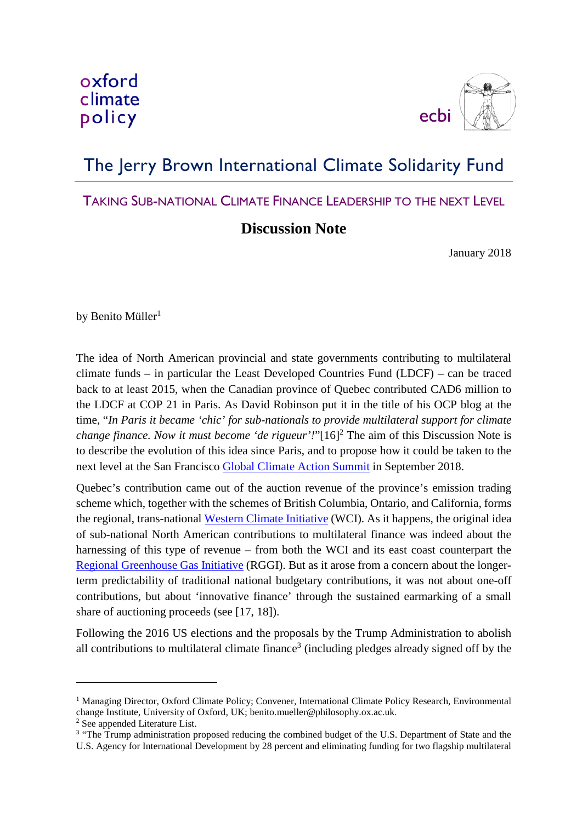

## The Jerry Brown International Climate Solidarity Fund

## TAKING SUB-NATIONAL CLIMATE FINANCE LEADERSHIP TO THE NEXT LEVEL

## **Discussion Note**

January 2018

by Benito Müller<sup>1</sup>

The idea of North American provincial and state governments contributing to multilateral climate funds – in particular the Least Developed Countries Fund (LDCF) – can be traced back to at least 2015, when the Canadian province of Quebec contributed CAD6 million to the LDCF at COP 21 in Paris. As David Robinson put it in the title of his OCP blog at the time, "*In Paris it became 'chic' for sub-nationals to provide multilateral support for climate change finance. Now it must become 'de rigueur'!*"[16] <sup>2</sup> The aim of this Discussion Note is to describe the evolution of this idea since Paris, and to propose how it could be taken to the next level at the San Francisco Global [Climate Action Summit](https://globalclimateactionsummit.org/) in September 2018.

Quebec's contribution came out of the auction revenue of the province's emission trading scheme which, together with the schemes of British Columbia, Ontario, and California, forms the regional, trans-national Western [Climate Initiative](http://www.wci-inc.org/) (WCI). As it happens, the original idea of sub-national North American contributions to multilateral finance was indeed about the harnessing of this type of revenue – from both the WCI and its east coast counterpart the [Regional Greenhouse Gas Initiative](https://www.rggi.org/) (RGGI). But as it arose from a concern about the longerterm predictability of traditional national budgetary contributions, it was not about one-off contributions, but about 'innovative finance' through the sustained earmarking of a small share of auctioning proceeds (see [17, 18]).

Following the 2016 US elections and the proposals by the Trump Administration to abolish all contributions to multilateral climate finance<sup>3</sup> (including pledges already signed off by the

<u>.</u>

<sup>&</sup>lt;sup>1</sup> Managing Director, Oxford Climate Policy; Convener, International Climate Policy Research, Environmental change Institute, University of Oxford, UK; benito.mueller@philosophy.ox.ac.uk.

<sup>2</sup> See appended Literature List.

<sup>&</sup>lt;sup>3</sup> "The Trump administration proposed reducing the combined budget of the U.S. Department of State and the U.S. Agency for International Development by 28 percent and eliminating funding for two flagship multilateral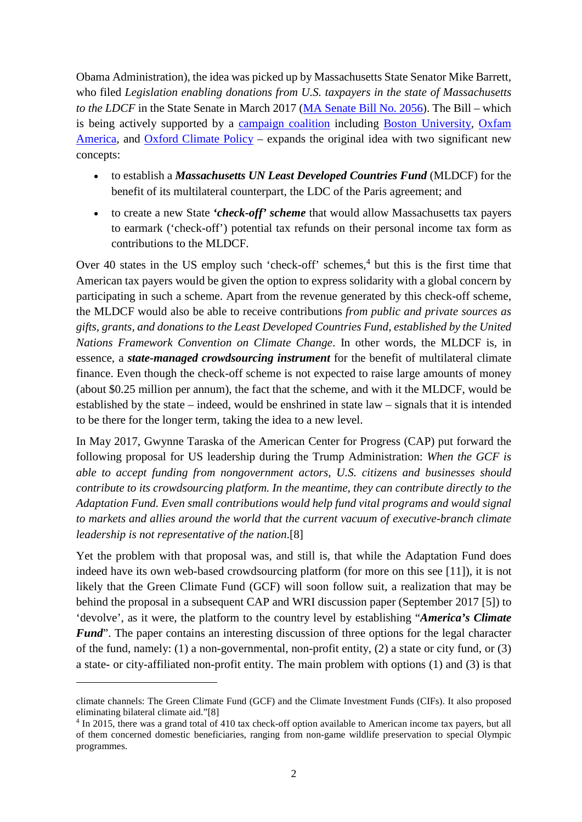Obama Administration), the idea was picked up by Massachusetts State Senator Mike Barrett, who filed *Legislation enabling donations from U.S. taxpayers in the state of Massachusetts to the LDCF* in the State Senate in March 2017 [\(MA Senate Bill No. 2056\)](https://malegislature.gov/Bills/190/SD2138). The Bill – which is being actively supported by a [campaign coalition](https://www.mass4climate.com/) including [Boston University,](https://www.bu.edu/ise/2017/03/29/ma-bill-for-voluntary-state-tax-returns-to-help-most-vulnerable-countries-with-climate-change/) [Oxfam](https://policy-practice.oxfamamerica.org/people/climate-change/)  [America,](https://policy-practice.oxfamamerica.org/people/climate-change/) and [Oxford Climate Policy](http://www.oxfordclimatepolicy.org/) – expands the original idea with two significant new concepts:

- to establish a *Massachusetts UN Least Developed Countries Fund* (MLDCF) for the benefit of its multilateral counterpart, the LDC of the Paris agreement; and
- to create a new State *'check-off' scheme* that would allow Massachusetts tax payers to earmark ('check-off') potential tax refunds on their personal income tax form as contributions to the MLDCF.

Over 40 states in the US employ such 'check-off' schemes,<sup>4</sup> but this is the first time that American tax payers would be given the option to express solidarity with a global concern by participating in such a scheme. Apart from the revenue generated by this check-off scheme, the MLDCF would also be able to receive contributions *from public and private sources as gifts, grants, and donations to the Least Developed Countries Fund, established by the United Nations Framework Convention on Climate Change*. In other words, the MLDCF is, in essence, a *state-managed crowdsourcing instrument* for the benefit of multilateral climate finance. Even though the check-off scheme is not expected to raise large amounts of money (about \$0.25 million per annum), the fact that the scheme, and with it the MLDCF, would be established by the state – indeed, would be enshrined in state law – signals that it is intended to be there for the longer term, taking the idea to a new level.

In May 2017, Gwynne Taraska of the American Center for Progress (CAP) put forward the following proposal for US leadership during the Trump Administration: *When the GCF is able to accept funding from nongovernment actors, U.S. citizens and businesses should contribute to its crowdsourcing platform. In the meantime, they can contribute directly to the Adaptation Fund. Even small contributions would help fund vital programs and would signal to markets and allies around the world that the current vacuum of executive-branch climate leadership is not representative of the nation*.[8]

Yet the problem with that proposal was, and still is, that while the Adaptation Fund does indeed have its own web-based crowdsourcing platform (for more on this see [11]), it is not likely that the Green Climate Fund (GCF) will soon follow suit, a realization that may be behind the proposal in a subsequent CAP and WRI discussion paper (September 2017 [5]) to 'devolve', as it were, the platform to the country level by establishing "*America's Climate Fund*". The paper contains an interesting discussion of three options for the legal character of the fund, namely: (1) a non-governmental, non-profit entity, (2) a state or city fund, or (3) a state- or city-affiliated non-profit entity. The main problem with options (1) and (3) is that

<u>.</u>

climate channels: The Green Climate Fund (GCF) and the Climate Investment Funds (CIFs). It also proposed eliminating bilateral climate aid."[8]

<sup>4</sup> In 2015, there was a grand total of 410 tax check-off option available to American income tax payers, but all of them concerned domestic beneficiaries, ranging from non-game wildlife preservation to special Olympic programmes.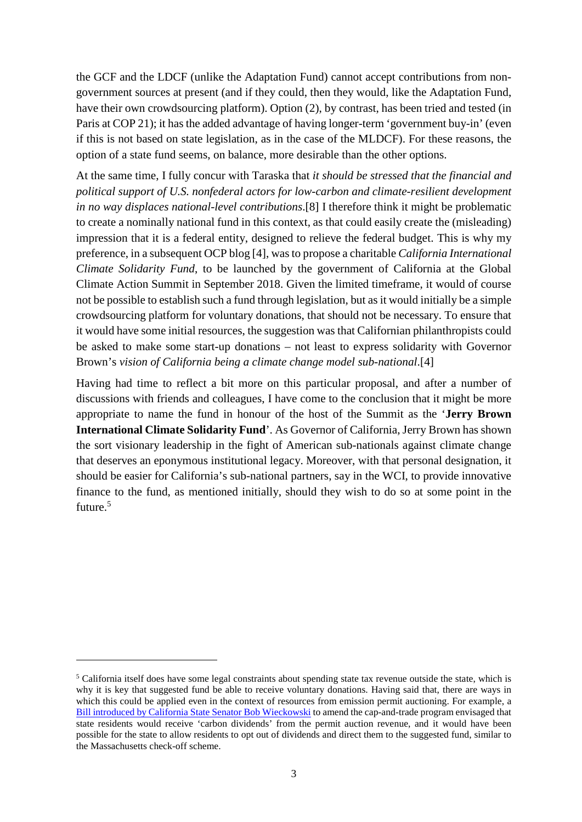the GCF and the LDCF (unlike the Adaptation Fund) cannot accept contributions from nongovernment sources at present (and if they could, then they would, like the Adaptation Fund, have their own crowdsourcing platform). Option (2), by contrast, has been tried and tested (in Paris at COP 21); it has the added advantage of having longer-term 'government buy-in' (even if this is not based on state legislation, as in the case of the MLDCF). For these reasons, the option of a state fund seems, on balance, more desirable than the other options.

At the same time, I fully concur with Taraska that *it should be stressed that the financial and political support of U.S. nonfederal actors for low-carbon and climate-resilient development in no way displaces national-level contributions*.[8] I therefore think it might be problematic to create a nominally national fund in this context, as that could easily create the (misleading) impression that it is a federal entity, designed to relieve the federal budget. This is why my preference, in a subsequent OCP blog [4], was to propose a charitable *California International Climate Solidarity Fund*, to be launched by the government of California at the Global Climate Action Summit in September 2018. Given the limited timeframe, it would of course not be possible to establish such a fund through legislation, but as it would initially be a simple crowdsourcing platform for voluntary donations, that should not be necessary. To ensure that it would have some initial resources, the suggestion was that Californian philanthropists could be asked to make some start-up donations – not least to express solidarity with Governor Brown's *vision of California being a climate change model sub-national*.[4]

Having had time to reflect a bit more on this particular proposal, and after a number of discussions with friends and colleagues, I have come to the conclusion that it might be more appropriate to name the fund in honour of the host of the Summit as the '**Jerry Brown International Climate Solidarity Fund**'. As Governor of California, Jerry Brown has shown the sort visionary leadership in the fight of American sub-nationals against climate change that deserves an eponymous institutional legacy. Moreover, with that personal designation, it should be easier for California's sub-national partners, say in the WCI, to provide innovative finance to the fund, as mentioned initially, should they wish to do so at some point in the future.<sup>5</sup>

<u>.</u>

<sup>5</sup> California itself does have some legal constraints about spending state tax revenue outside the state, which is why it is key that suggested fund be able to receive voluntary donations. Having said that, there are ways in which this could be applied even in the context of resources from emission permit auctioning. For example, a [Bill introduced by California State Senator Bob Wieckowski](https://www.vox.com/energy-and-environment/2017/5/3/15512258/california-revolutionize-cap-and-trade) to amend the cap-and-trade program envisaged that state residents would receive 'carbon dividends' from the permit auction revenue, and it would have been possible for the state to allow residents to opt out of dividends and direct them to the suggested fund, similar to the Massachusetts check-off scheme.